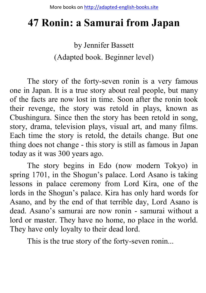# **47 Ronin: a Samurai from Japan**

by Jennifer Bassett (Adapted book. Beginner level)

The story of the forty-seven ronin is a very famous one in Japan. It is a true story about real people, but many of the facts are now lost in time. Soon after the ronin took their revenge, the story was retold in plays, known as Cbushingura. Since then the story has been retold in song, story, drama, television plays, visual art, and many films. Each time the story is retold, the details change. But one thing does not change - this story is still as famous in Japan today as it was 300 years ago.

The story begins in Edo (now modern Tokyo) in spring 1701, in the Shogun's palace. Lord Asano is taking lessons in palace ceremony from Lord Kira, one of the lords in the Shogun's palace. Kira has only hard words for Asano, and by the end of that terrible day, Lord Asano is dead. Asano's samurai are now ronin - samurai without a lord or master. They have no home, no place in the world. They have only loyalty to their dead lord.

This is the true story of the forty-seven ronin...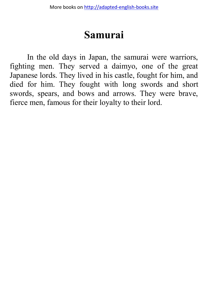#### **Samurai**

In the old days in Japan, the samurai were warriors, fighting men. They served a daimyo, one of the great Japanese lords. They lived in his castle, fought for him, and died for him. They fought with long swords and short swords, spears, and bows and arrows. They were brave, fierce men, famous for their loyalty to their lord.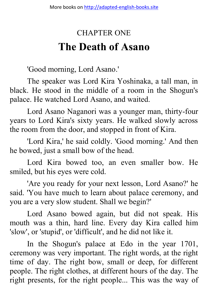## CHAPTER ONE **The Death of Asano**

'Good morning, Lord Asano.'

The speaker was Lord Kira Yoshinaka, a tall man, in black. He stood in the middle of a room in the Shogun's palace. He watched Lord Asano, and waited.

Lord Asano Naganori was a younger man, thirty-four years to Lord Kira's sixty years. He walked slowly across the room from the door, and stopped in front of Kira.

'Lord Kira,' he said coldly. 'Good morning.' And then he bowed, just a small bow of the head.

Lord Kira bowed too, an even smaller bow. He smiled, but his eyes were cold.

'Are you ready for your next lesson, Lord Asano?' he said. 'You have much to learn about palace ceremony, and you are a very slow student. Shall we begin?'

Lord Asano bowed again, but did not speak. His mouth was a thin, hard line. Every day Kira called him 'slow', or 'stupid', or 'difficult', and he did not like it.

In the Shogun's palace at Edo in the year 1701, ceremony was very important. The right words, at the right time of day. The right bow, small or deep, for different people. The right clothes, at different hours of the day. The right presents, for the right people... This was the way of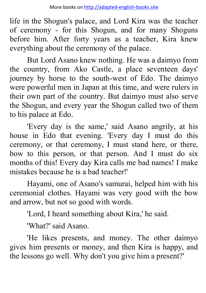life in the Shogun's palace, and Lord Kira was the teacher of ceremony - for this Shogun, and for many Shoguns before him. After forty years as a teacher, Kira knew everything about the ceremony of the palace.

But Lord Asano knew nothing. He was a daimyo from the country, from Ako Castle, a place seventeen days' journey by horse to the south-west of Edo. The daimyo were powerful men in Japan at this time, and were rulers in their own part of the country. But daimyo must also serve the Shogun, and every year the Shogun called two of them to his palace at Edo.

'Every day is the same,' said Asano angrily, at his house in Edo that evening. 'Every day I must do this ceremony, or that ceremony, I must stand here, or there, bow to this person, or that person. And I must do six months of this! Every day Kira calls me bad names! I make mistakes because he is a bad teacher!'

Hayami, one of Asano's samurai, helped him with his ceremonial clothes. Hayami was very good with the bow and arrow, but not so good with words.

'Lord, I heard something about Kira,' he said.

'What?' said Asano.

'He likes presents, and money. The other daimyo gives him presents or money, and then Kira is happy, and the lessons go well. Why don't you give him a present?'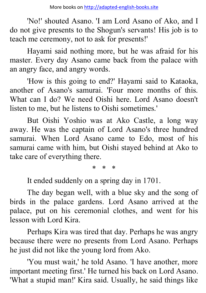'No!' shouted Asano. 'I am Lord Asano of Ako, and I do not give presents to the Shogun's servants! His job is to teach me ceremony, not to ask for presents!'

Hayami said nothing more, but he was afraid for his master. Every day Asano came back from the palace with an angry face, and angry words.

'How is this going to end?' Hayami said to Kataoka, another of Asano's samurai. 'Four more months of this. What can I do? We need Oishi here. Lord Asano doesn't listen to me, but he listens to Oishi sometimes.'

But Oishi Yoshio was at Ako Castle, a long way away. He was the captain of Lord Asano's three hundred samurai. When Lord Asano came to Edo, most of his samurai came with him, but Oishi stayed behind at Ako to take care of everything there.

\* \* \*

It ended suddenly on a spring day in 1701.

The day began well, with a blue sky and the song of birds in the palace gardens. Lord Asano arrived at the palace, put on his ceremonial clothes, and went for his lesson with Lord Kira.

Perhaps Kira was tired that day. Perhaps he was angry because there were no presents from Lord Asano. Perhaps he just did not like the young lord from Ako.

'You must wait,' he told Asano. 'I have another, more important meeting first.' He turned his back on Lord Asano. 'What a stupid man!' Kira said. Usually, he said things like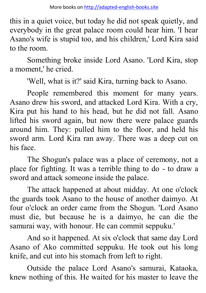this in a quiet voice, but today he did not speak quietly, and everybody in the great palace room could hear him. 'I hear Asano's wife is stupid too, and his children,' Lord Kira said to the room.

Something broke inside Lord Asano. 'Lord Kira, stop a moment,' he cried.

'Well, what is it?' said Kira, turning back to Asano.

People remembered this moment for many years. Asano drew his sword, and attacked Lord Kira. With a cry, Kira put his hand to his head, but he did not fall. Asano lifted his sword again, but now there were palace guards around him. They: pulled him to the floor, and held his sword arm. Lord Kira ran away. There was a deep cut on his face.

The Shogun's palace was a place of ceremony, not a place for fighting. It was a terrible thing to do - to draw a sword and attack someone inside the palace.

The attack happened at about midday. At one o'clock the guards took Asano to the house of another daimyo. At four o'clock an order came from the Shogun. 'Lord Asano must die, but because he is a daimyo, he can die the samurai way, with honour. He can commit seppuku.'

And so it happened. At six o'clock that same day Lord Asano of Ako committed seppuku. He took out his long knife, and cut into his stomach from left to right.

Outside the palace Lord Asano's samurai, Kataoka, knew nothing of this. He waited for his master to leave the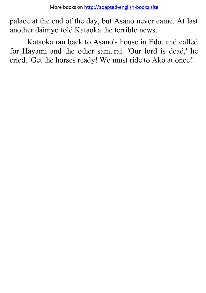palace at the end of the day, but Asano never came. At last another daimyo told Kataoka the terrible news.

Kataoka ran back to Asano's house in Edo, and called for Hayami and the other samurai. 'Our lord is dead,' he cried. 'Get the horses ready! We must ride to Ako at once!'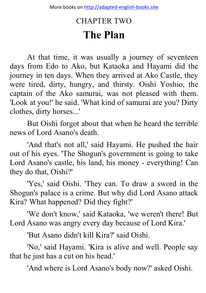### CHAPTER TWO **The Plan**

At that time, it was usually a journey of seventeen days from Edo to Ako, but Kataoka and Hayami did the journey in ten days. When they arrived at Ako Castle, they were tired, dirty, hungry, and thirsty. Oishi Yoshio, the captain of the Ako samurai, was not pleased with them. 'Look at you!' he said. 'What kind of samurai are you? Dirty clothes, dirty horses...'

But Oishi forgot about that when he heard the terrible news of Lord Asano's death.

'And that's not all,' said Hayami. He pushed the hair out of his eyes. 'The Shogun's government is going to take Lord Asano's castle, his land, his money - everything! Can they do that, Oishi?'

'Yes,' said Oishi. 'They can. To draw a sword in the Shogun's palace is a crime. But why did Lord Asano attack Kira? What happened? Did they fight?'

'We don't know,' said Kataoka, 'we weren't there! But Lord Asano was angry every day because of Lord Kira.'

'But Asano didn't kill Kira?' said Oishi.

'No,' said Hayami. 'Kira is alive and well. People say that he just has a cut on his head.'

'And where is Lord Asano's body now?' asked Oishi.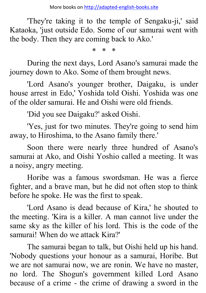More books o[n http://adapted-english-books.site](http://adapted-english-books.site/)

'They're taking it to the temple of Sengaku-ji,' said Kataoka, 'just outside Edo. Some of our samurai went with the body. Then they are coming back to Ako.'

\* \* \*

During the next days, Lord Asano's samurai made the journey down to Ako. Some of them brought news.

'Lord Asano's younger brother, Daigaku, is under house arrest in Edo,' Yoshida told Oishi. Yoshida was one of the older samurai. He and Oishi were old friends.

'Did you see Daigaku?' asked Oishi.

'Yes, just for two minutes. They're going to send him away, to Hiroshima, to the Asano family there.'

Soon there were nearly three hundred of Asano's samurai at Ako, and Oishi Yoshio called a meeting. It was a noisy, angry meeting.

Horibe was a famous swordsman. He was a fierce fighter, and a brave man, but he did not often stop to think before he spoke. He was the first to speak.

'Lord Asano is dead because of Kira,' he shouted to the meeting. 'Kira is a killer. A man cannot live under the same sky as the killer of his lord. This is the code of the samurai! When do we attack Kira?'

The samurai began to talk, but Oishi held up his hand. 'Nobody questions your honour as a samurai, Horibe. But we are not samurai now, we are ronin. We have no master, no lord. The Shogun's government killed Lord Asano because of a crime - the crime of drawing a sword in the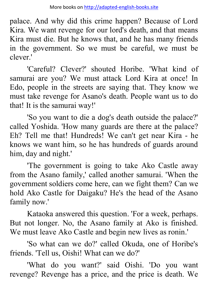palace. And why did this crime happen? Because of Lord Kira. We want revenge for our lord's death, and that means Kira must die. But he knows that, and he has many friends in the government. So we must be careful, we must be clever.'

'Careful? Clever?' shouted Horibe. 'What kind of samurai are you? We must attack Lord Kira at once! In Edo, people in the streets are saying that. They know we must take revenge for Asano's death. People want us to do that! It is the samurai way!'

'So you want to die a dog's death outside the palace?' called Yoshida. 'How many guards are there at the palace? Eh? Tell me that! Hundreds! We can't get near Kira - he knows we want him, so he has hundreds of guards around him, day and night.'

'The government is going to take Ako Castle away from the Asano family,' called another samurai. 'When the government soldiers come here, can we fight them? Can we hold Ako Castle for Daigaku? He's the head of the Asano family now.'

Kataoka answered this question. 'For a week, perhaps. But not longer. No, the Asano family at Ako is finished. We must leave Ako Castle and begin new lives as ronin.'

'So what can we do?' called Okuda, one of Horibe's friends. 'Tell us, Oishi! What can we do?'

'What do you want?' said Oishi. 'Do you want revenge? Revenge has a price, and the price is death. We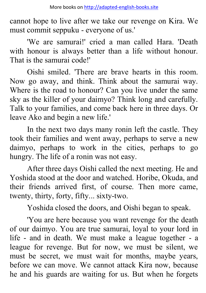cannot hope to live after we take our revenge on Kira. We must commit seppuku - everyone of us.'

'We are samurai!' cried a man called Hara. 'Death with honour is always better than a life without honour. That is the samurai code!'

Oishi smiled. 'There are brave hearts in this room. Now go away, and think. Think about the samurai way. Where is the road to honour? Can you live under the same sky as the killer of your daimyo? Think long and carefully. Talk to your families, and come back here in three days. Or leave Ako and begin a new life.'

In the next two days many ronin left the castle. They took their families and went away, perhaps to serve a new daimyo, perhaps to work in the cities, perhaps to go hungry. The life of a ronin was not easy.

After three days Oishi called the next meeting. He and Yoshida stood at the door and watched. Horibe, Okuda, and their friends arrived first, of course. Then more came, twenty, thirty, forty, fifty... sixty-two.

Yoshida closed the doors, and Oishi began to speak.

'You are here because you want revenge for the death of our daimyo. You are true samurai, loyal to your lord in life - and in death. We must make a league together - a league for revenge. But for now, we must be silent, we must be secret, we must wait for months, maybe years, before we can move. We cannot attack Kira now, because he and his guards are waiting for us. But when he forgets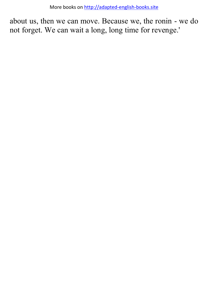about us, then we can move. Because we, the ronin - we do not forget. We can wait a long, long time for revenge.'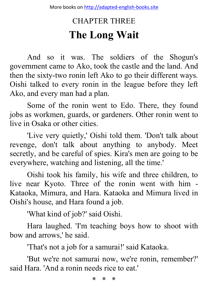## CHAPTER THREE **The Long Wait**

And so it was. The soldiers of the Shogun's government came to Ako, took the castle and the land. And then the sixty-two ronin left Ako to go their different ways. Oishi talked to every ronin in the league before they left Ako, and every man had a plan.

Some of the ronin went to Edo. There, they found jobs as workmen, guards, or gardeners. Other ronin went to live in Osaka or other cities.

'Live very quietly,' Oishi told them. 'Don't talk about revenge, don't talk about anything to anybody. Meet secretly, and be careful of spies. Kira's men are going to be everywhere, watching and listening, all the time.'

Oishi took his family, his wife and three children, to live near Kyoto. Three of the ronin went with him - Kataoka, Mimura, and Hara. Kataoka and Mimura lived in Oishi's house, and Hara found a job.

'What kind of job?' said Oishi.

Hara laughed. 'I'm teaching boys how to shoot with bow and arrows,' he said.

'That's not a job for a samurai!' said Kataoka.

'But we're not samurai now, we're ronin, remember?' said Hara. 'And a ronin needs rice to eat.'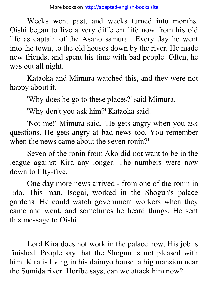Weeks went past, and weeks turned into months. Oishi began to live a very different life now from his old life as captain of the Asano samurai. Every day he went into the town, to the old houses down by the river. He made new friends, and spent his time with bad people. Often, he was out all night.

Kataoka and Mimura watched this, and they were not happy about it.

'Why does he go to these places?' said Mimura.

'Why don't you ask him?' Kataoka said.

'Not me!' Mimura said. 'He gets angry when you ask questions. He gets angry at bad news too. You remember when the news came about the seven ronin?'

Seven of the ronin from Ako did not want to be in the league against Kira any longer. The numbers were now down to fifty-five.

One day more news arrived - from one of the ronin in Edo. This man, Isogai, worked in the Shogun's palace gardens. He could watch government workers when they came and went, and sometimes he heard things. He sent this message to Oishi.

Lord Kira does not work in the palace now. His job is finished. People say that the Shogun is not pleased with him. Kira is living in his daimyo house, a big mansion near the Sumida river. Horibe says, can we attack him now?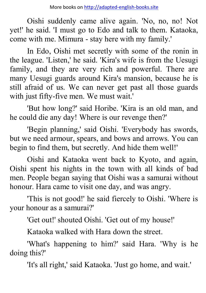Oishi suddenly came alive again. 'No, no, no! Not yet!' he said. 'I must go to Edo and talk to them. Kataoka, come with me. Mimura - stay here with my family.'

In Edo, Oishi met secretly with some of the ronin in the league. 'Listen,' he said. 'Kira's wife is from the Uesugi family, and they are very rich and powerful. There are many Uesugi guards around Kira's mansion, because he is still afraid of us. We can never get past all those guards with just fifty-five men. We must wait.'

'But how long?' said Horibe. 'Kira is an old man, and he could die any day! Where is our revenge then?'

'Begin planning,' said Oishi. 'Everybody has swords, but we need armour, spears, and bows and arrows. You can begin to find them, but secretly. And hide them well!'

Oishi and Kataoka went back to Kyoto, and again, Oishi spent his nights in the town with all kinds of bad men. People began saying that Oishi was a samurai without honour. Hara came to visit one day, and was angry.

'This is not good!' he said fiercely to Oishi. 'Where is your honour as a samurai?'

'Get out!' shouted Oishi. 'Get out of my house!'

Kataoka walked with Hara down the street.

'What's happening to him?' said Hara. 'Why is he doing this?'

'It's all right,' said Kataoka. 'Just go home, and wait.'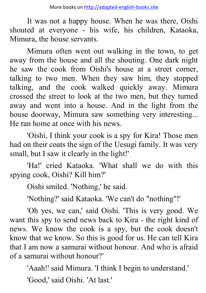It was not a happy house. When he was there, Oishi shouted at everyone - his wife, his children, Kataoka, Mimura, the house servants.

Mimura often went out walking in the town, to get away from the house and all the shouting. One dark night he saw the cook from Oishi's house at a street corner, talking to two men. When they saw him, they stopped talking, and the cook walked quickly away. Mimura crossed the street to look at the two men, but they turned away and went into a house. And in the light from the house doorway, Mimura saw something very interesting... He ran home at once with his news.

'Oishi, I think your cook is a spy for Kira! Those men had on their coats the sign of the Uesugi family. It was very small, but I saw it clearly in the light!'

'Ha!' cried Kataoka. 'What shall we do with this spying cook, Oishi? Kill him?'

Oishi smiled. 'Nothing,' he said.

'Nothing?' said Kataoka. 'We can't do "nothing"!'

'Oh yes, we can,' said Oishi. 'This is very good. We want this spy to send news back to Kira - the right kind of news. We know the cook is a spy, but the cook doesn't know that we know. So this is good for us. He can tell Kira that I am now a samurai without honour. And who is afraid of a samurai without honour?'

'Aaah!' said Mimura. 'I think I begin to understand.'

'Good,' said Oishi. 'At last.'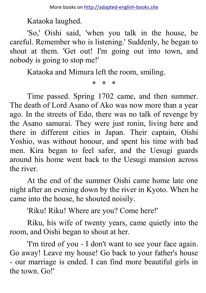Kataoka laughed.

'So,' Oishi said, 'when you talk in the house, be careful. Remember who is listening.' Suddenly, he began to shout at them. 'Get out! I'm going out into town, and nobody is going to stop me!'

Kataoka and Mimura left the room, smiling.

\* \* \*

Time passed. Spring 1702 came, and then summer. The death of Lord Asano of Ako was now more than a year ago. In the streets of Edo, there was no talk of revenge by the Asano samurai. They were just ronin, living here and there in different cities in Japan. Their captain, Oishi Yoshio, was without honour, and spent his time with bad men. Kira began to feel safer, and the Uesugi guards around his home went back to the Uesugi mansion across the river.

At the end of the summer Oishi came home late one night after an evening down by the river in Kyoto. When he came into the house, he shouted noisily.

'Riku! Riku! Where are you? Come here!'

Riku, his wife of twenty years, came quietly into the room, and Oishi began to shout at her.

'I'm tired of you - I don't want to see your face again. Go away! Leave my house! Go back to your father's house - our marriage is ended. I can find more beautiful girls in the town. Go!'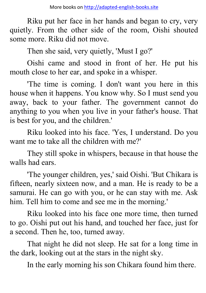Riku put her face in her hands and began to cry, very quietly. From the other side of the room, Oishi shouted some more. Riku did not move.

Then she said, very quietly, 'Must I go?'

Oishi came and stood in front of her. He put his mouth close to her ear, and spoke in a whisper.

'The time is coming. I don't want you here in this house when it happens. You know why. So I must send you away, back to your father. The government cannot do anything to you when you live in your father's house. That is best for you, and the children.'

Riku looked into his face. 'Yes, I understand. Do you want me to take all the children with me?'

They still spoke in whispers, because in that house the walls had ears.

'The younger children, yes,' said Oishi. 'But Chikara is fifteen, nearly sixteen now, and a man. He is ready to be a samurai. He can go with you, or he can stay with me. Ask him. Tell him to come and see me in the morning.'

Riku looked into his face one more time, then turned to go. Oishi put out his hand, and touched her face, just for a second. Then he, too, turned away.

That night he did not sleep. He sat for a long time in the dark, looking out at the stars in the night sky.

In the early morning his son Chikara found him there.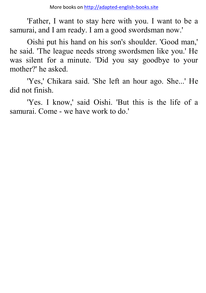'Father, I want to stay here with you. I want to be a samurai, and I am ready. I am a good swordsman now.'

Oishi put his hand on his son's shoulder. 'Good man,' he said. 'The league needs strong swordsmen like you.' He was silent for a minute. 'Did you say goodbye to your mother?' he asked.

'Yes,' Chikara said. 'She left an hour ago. She...' He did not finish.

'Yes. I know,' said Oishi. 'But this is the life of a samurai. Come - we have work to do.'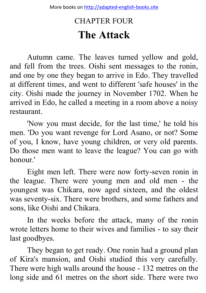## CHAPTER FOUR **The Attack**

Autumn came. The leaves turned yellow and gold, and fell from the trees. Oishi sent messages to the ronin, and one by one they began to arrive in Edo. They travelled at different times, and went to different 'safe houses' in the city. Oishi made the journey in November 1702. When he arrived in Edo, he called a meeting in a room above a noisy restaurant.

'Now you must decide, for the last time,' he told his men. 'Do you want revenge for Lord Asano, or not? Some of you, I know, have young children, or very old parents. Do those men want to leave the league? You can go with honour.'

Eight men left. There were now forty-seven ronin in the league. There were young men and old men - the youngest was Chikara, now aged sixteen, and the oldest was seventy-six. There were brothers, and some fathers and sons, like Oishi and Chikara.

In the weeks before the attack, many of the ronin wrote letters home to their wives and families - to say their last goodbyes.

They began to get ready. One ronin had a ground plan of Kira's mansion, and Oishi studied this very carefully. There were high walls around the house - 132 metres on the long side and 61 metres on the short side. There were two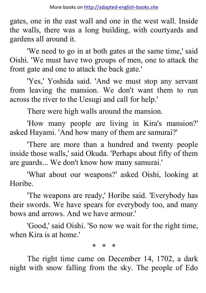gates, one in the east wall and one in the west wall. Inside the walls, there was a long building, with courtyards and gardens all around it.

'We need to go in at both gates at the same time,' said Oishi. 'We must have two groups of men, one to attack the front gate and one to attack the back gate.'

'Yes,' Yoshida said. 'And we must stop any servant from leaving the mansion. We don't want them to run across the river to the Uesugi and call for help.'

There were high walls around the mansion.

'How many people are living in Kira's mansion?' asked Hayami. 'And how many of them are samurai?'

'There are more than a hundred and twenty people inside those walls,' said Okuda. 'Perhaps about fifty of them are guards... We don't know how many samurai.'

'What about our weapons?' asked Oishi, looking at **Horibe** 

'The weapons are ready,' Horibe said. 'Everybody has their swords. We have spears for everybody too, and many bows and arrows. And we have armour.'

'Good,' said Oishi. 'So now we wait for the right time, when Kira is at home.'

\* \* \*

The right time came on December 14, 1702, a dark night with snow falling from the sky. The people of Edo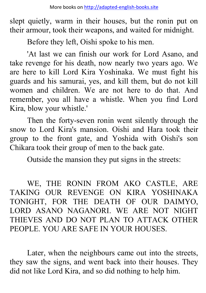slept quietly, warm in their houses, but the ronin put on their armour, took their weapons, and waited for midnight.

Before they left, Oishi spoke to his men.

'At last we can finish our work for Lord Asano, and take revenge for his death, now nearly two years ago. We are here to kill Lord Kira Yoshinaka. We must fight his guards and his samurai, yes, and kill them, but do not kill women and children. We are not here to do that. And remember, you all have a whistle. When you find Lord Kira, blow your whistle.'

Then the forty-seven ronin went silently through the snow to Lord Kira's mansion. Oishi and Hara took their group to the front gate, and Yoshida with Oishi's son Chikara took their group of men to the back gate.

Outside the mansion they put signs in the streets:

WE, THE RONIN FROM AKO CASTLE, ARE TAKING OUR REVENGE ON KIRA YOSHINAKA TONIGHT, FOR THE DEATH OF OUR DAIMYO, LORD ASANO NAGANORI. WE ARE NOT NIGHT THIEVES AND DO NOT PLAN TO ATTACK OTHER PEOPLE. YOU ARE SAFE IN YOUR HOUSES.

Later, when the neighbours came out into the streets, they saw the signs, and went back into their houses. They did not like Lord Kira, and so did nothing to help him.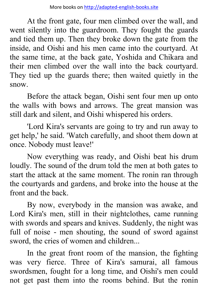At the front gate, four men climbed over the wall, and went silently into the guardroom. They fought the guards and tied them up. Then they broke down the gate from the inside, and Oishi and his men came into the courtyard. At the same time, at the back gate, Yoshida and Chikara and their men climbed over the wall into the back courtyard. They tied up the guards there; then waited quietly in the snow.

Before the attack began, Oishi sent four men up onto the walls with bows and arrows. The great mansion was still dark and silent, and Oishi whispered his orders.

'Lord Kira's servants are going to try and run away to get help,' he said. 'Watch carefully, and shoot them down at once. Nobody must leave!'

Now everything was ready, and Oishi beat his drum loudly. The sound of the drum told the men at both gates to start the attack at the same moment. The ronin ran through the courtyards and gardens, and broke into the house at the front and the back.

By now, everybody in the mansion was awake, and Lord Kira's men, still in their nightclothes, came running with swords and spears and knives. Suddenly, the night was full of noise - men shouting, the sound of sword against sword, the cries of women and children...

In the great front room of the mansion, the fighting was very fierce. Three of Kira's samurai, all famous swordsmen, fought for a long time, and Oishi's men could not get past them into the rooms behind. But the ronin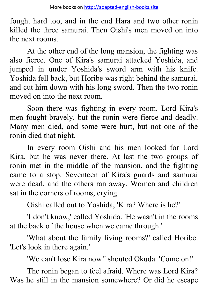fought hard too, and in the end Hara and two other ronin killed the three samurai. Then Oishi's men moved on into the next rooms.

At the other end of the long mansion, the fighting was also fierce. One of Kira's samurai attacked Yoshida, and jumped in under Yoshida's sword arm with his knife. Yoshida fell back, but Horibe was right behind the samurai, and cut him down with his long sword. Then the two ronin moved on into the next room.

Soon there was fighting in every room. Lord Kira's men fought bravely, but the ronin were fierce and deadly. Many men died, and some were hurt, but not one of the ronin died that night.

In every room Oishi and his men looked for Lord Kira, but he was never there. At last the two groups of ronin met in the middle of the mansion, and the fighting came to a stop. Seventeen of Kira's guards and samurai were dead, and the others ran away. Women and children sat in the corners of rooms, crying.

Oishi called out to Yoshida, 'Kira? Where is he?'

'I don't know,' called Yoshida. 'He wasn't in the rooms at the back of the house when we came through.'

'What about the family living rooms?' called Horibe. 'Let's look in there again.'

'We can't lose Kira now!' shouted Okuda. 'Come on!'

The ronin began to feel afraid. Where was Lord Kira? Was he still in the mansion somewhere? Or did he escape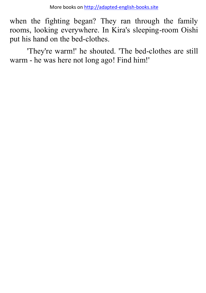when the fighting began? They ran through the family rooms, looking everywhere. In Kira's sleeping-room Oishi put his hand on the bed-clothes.

'They're warm!' he shouted. 'The bed-clothes are still warm - he was here not long ago! Find him!'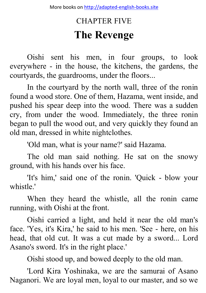# CHAPTER FIVE **The Revenge**

Oishi sent his men, in four groups, to look everywhere - in the house, the kitchens, the gardens, the courtyards, the guardrooms, under the floors...

In the courtyard by the north wall, three of the ronin found a wood store. One of them, Hazama, went inside, and pushed his spear deep into the wood. There was a sudden cry, from under the wood. Immediately, the three ronin began to pull the wood out, and very quickly they found an old man, dressed in white nightclothes.

'Old man, what is your name?' said Hazama.

The old man said nothing. He sat on the snowy ground, with his hands over his face.

'It's him,' said one of the ronin. 'Quick - blow your whistle.'

When they heard the whistle, all the ronin came running, with Oishi at the front.

Oishi carried a light, and held it near the old man's face. 'Yes, it's Kira,' he said to his men. 'See - here, on his head, that old cut. It was a cut made by a sword... Lord Asano's sword. It's in the right place.'

Oishi stood up, and bowed deeply to the old man.

'Lord Kira Yoshinaka, we are the samurai of Asano Naganori. We are loyal men, loyal to our master, and so we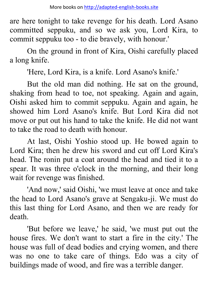are here tonight to take revenge for his death. Lord Asano committed seppuku, and so we ask you, Lord Kira, to commit seppuku too - to die bravely, with honour.'

On the ground in front of Kira, Oishi carefully placed a long knife.

'Here, Lord Kira, is a knife. Lord Asano's knife.'

But the old man did nothing. He sat on the ground, shaking from head to toe, not speaking. Again and again, Oishi asked him to commit seppuku. Again and again, he showed him Lord Asano's knife. But Lord Kira did not move or put out his hand to take the knife. He did not want to take the road to death with honour.

At last, Oishi Yoshio stood up. He bowed again to Lord Kira; then he drew his sword and cut off Lord Kira's head. The ronin put a coat around the head and tied it to a spear. It was three o'clock in the morning, and their long wait for revenge was finished.

'And now,' said Oishi, 'we must leave at once and take the head to Lord Asano's grave at Sengaku-ji. We must do this last thing for Lord Asano, and then we are ready for death.

'But before we leave,' he said, 'we must put out the house fires. We don't want to start a fire in the city.' The house was full of dead bodies and crying women, and there was no one to take care of things. Edo was a city of buildings made of wood, and fire was a terrible danger.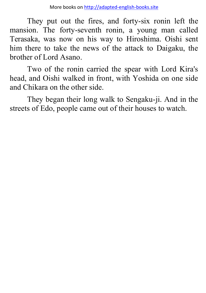They put out the fires, and forty-six ronin left the mansion. The forty-seventh ronin, a young man called Terasaka, was now on his way to Hiroshima. Oishi sent him there to take the news of the attack to Daigaku, the brother of Lord Asano.

Two of the ronin carried the spear with Lord Kira's head, and Oishi walked in front, with Yoshida on one side and Chikara on the other side.

They began their long walk to Sengaku-ji. And in the streets of Edo, people came out of their houses to watch.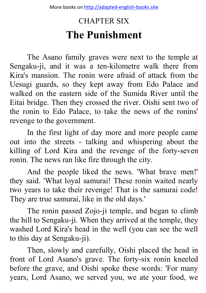# CHAPTER SIX **The Punishment**

The Asano family graves were next to the temple at Sengaku-ji, and it was a ten-kilometre walk there from Kira's mansion. The ronin were afraid of attack from the Uesugi guards, so they kept away from Edo Palace and walked on the eastern side of the Sumida River until the Eitai bridge. Then they crossed the river. Oishi sent two of the ronin to Edo Palace, to take the news of the ronins' revenge to the government.

In the first light of day more and more people came out into the streets - talking and whispering about the killing of Lord Kira and the revenge of the forty-seven ronin. The news ran like fire through the city.

And the people liked the news. 'What brave men!' they said. 'What loyal samurai! These ronin waited nearly two years to take their revenge! That is the samurai code! They are true samurai, like in the old days.'

The ronin passed Zojo-ji temple, and began to climb the hill to Sengaku-ji. When they arrived at the temple, they washed Lord Kira's head in the well (you can see the well to this day at Sengaku-ji).

Then, slowly and carefully, Oishi placed the head in front of Lord Asano's grave. The forty-six ronin kneeled before the grave, and Oishi spoke these words: 'For many years, Lord Asano, we served you, we ate your food, we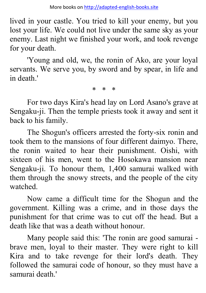lived in your castle. You tried to kill your enemy, but you lost your life. We could not live under the same sky as your enemy. Last night we finished your work, and took revenge for your death.

'Young and old, we, the ronin of Ako, are your loyal servants. We serve you, by sword and by spear, in life and in death.'

\* \* \*

For two days Kira's head lay on Lord Asano's grave at Sengaku-ji. Then the temple priests took it away and sent it back to his family.

The Shogun's officers arrested the forty-six ronin and took them to the mansions of four different daimyo. There, the ronin waited to hear their punishment. Oishi, with sixteen of his men, went to the Hosokawa mansion near Sengaku-ji. To honour them, 1,400 samurai walked with them through the snowy streets, and the people of the city watched.

Now came a difficult time for the Shogun and the government. Killing was a crime, and in those days the punishment for that crime was to cut off the head. But a death like that was a death without honour.

Many people said this: 'The ronin are good samurai brave men, loyal to their master. They were right to kill Kira and to take revenge for their lord's death. They followed the samurai code of honour, so they must have a samurai death.'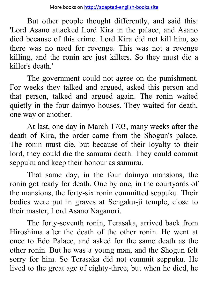But other people thought differently, and said this: 'Lord Asano attacked Lord Kira in the palace, and Asano died because of this crime. Lord Kira did not kill him, so there was no need for revenge. This was not a revenge killing, and the ronin are just killers. So they must die a killer's death.'

The government could not agree on the punishment. For weeks they talked and argued, asked this person and that person, talked and argued again. The ronin waited quietly in the four daimyo houses. They waited for death, one way or another.

At last, one day in March 1703, many weeks after the death of Kira, the order came from the Shogun's palace. The ronin must die, but because of their loyalty to their lord, they could die the samurai death. They could commit seppuku and keep their honour as samurai.

That same day, in the four daimyo mansions, the ronin got ready for death. One by one, in the courtyards of the mansions, the forty-six ronin committed seppuku. Their bodies were put in graves at Sengaku-ji temple, close to their master, Lord Asano Naganori.

The forty-seventh ronin, Terasaka, arrived back from Hiroshima after the death of the other ronin. He went at once to Edo Palace, and asked for the same death as the other ronin. But he was a young man, and the Shogun felt sorry for him. So Terasaka did not commit seppuku. He lived to the great age of eighty-three, but when he died, he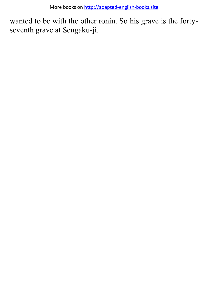More books o[n http://adapted-english-books.site](http://adapted-english-books.site/)

wanted to be with the other ronin. So his grave is the fortyseventh grave at Sengaku-ji.